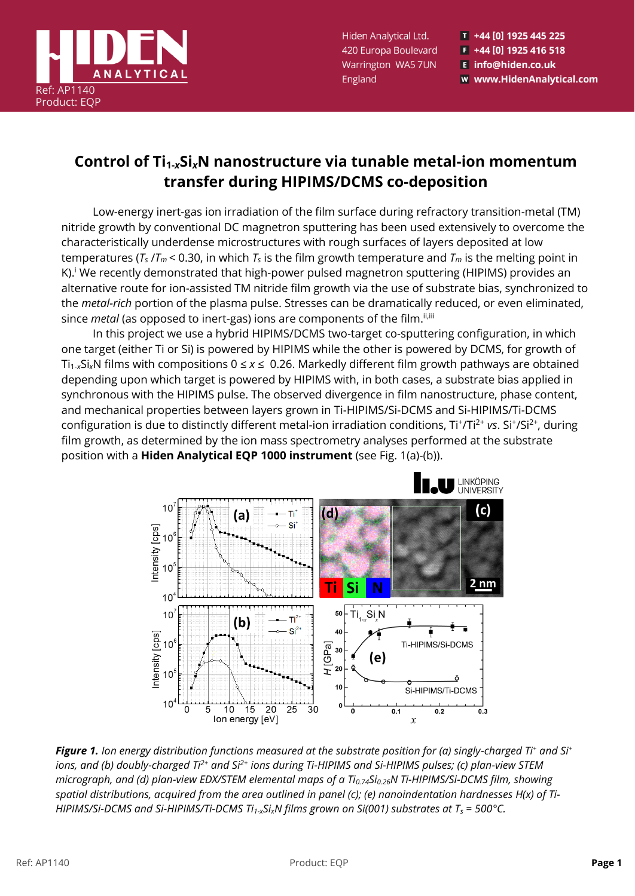

Hiden Analytical Ltd. 420 Europa Boulevard Warrington WA5 7UN England

T +44 [0] 1925 445 225 F +44 [0] 1925 416 518 E info@hiden.co.uk w www.HidenAnalytical.com

## **Control of Ti1-***x***Si***x***N nanostructure via tunable metal-ion momentum transfer during HIPIMS/DCMS co-deposition**

Low-energy inert-gas ion irradiation of the film surface during refractory transition-metal (TM) nitride growth by conventional DC magnetron sputtering has been used extensively to overcome the characteristically underdense microstructures with rough surfaces of layers deposited at low temperatures ( $T_s / T_m$  < 0.30, in which  $T_s$  is the film growth temperature and  $T_m$  is the melting point in K).<sup>i</sup> We recently demonstrated that high-power pulsed magnetron sputtering (HIPIMS) provides an alternative route for ion-assisted TM nitride film growth via the use of substrate bias, synchronized to the *metal-rich* portion of the plasma pulse. Stresses can be dramatically reduced, or even eliminated, since *metal* (as opposed to inert-gas) ions are components of the film.<sup>ii,iii</sup>

In this project we use a hybrid HIPIMS/DCMS two-target co-sputtering configuration, in which one target (either Ti or Si) is powered by HIPIMS while the other is powered by DCMS, for growth of Ti<sub>1-x</sub>Si<sub>x</sub>N films with compositions  $0 \le x \le 0.26$ . Markedly different film growth pathways are obtained depending upon which target is powered by HIPIMS with, in both cases, a substrate bias applied in synchronous with the HIPIMS pulse. The observed divergence in film nanostructure, phase content, and mechanical properties between layers grown in Ti-HIPIMS/Si-DCMS and Si-HIPIMS/Ti-DCMS configuration is due to distinctly different metal-ion irradiation conditions, Ti<sup>+</sup>/Ti<sup>2+</sup> vs. Si<sup>+</sup>/Si<sup>2+</sup>, during film growth, as determined by the ion mass spectrometry analyses performed at the substrate position with a **Hiden Analytical EQP 1000 instrument** (see Fig. 1(a)-(b)).



*Figure 1. Ion energy distribution functions measured at the substrate position for (a) singly-charged Ti<sup>+</sup> and Si<sup>+</sup> ions, and (b) doubly-charged Ti2+ and Si2+ ions during Ti-HIPIMS and Si-HIPIMS pulses; (c) plan-view STEM micrograph, and (d) plan-view EDX/STEM elemental maps of a Ti0.74Si0.26N Ti-HIPIMS/Si-DCMS film, showing spatial distributions, acquired from the area outlined in panel (c); (e) nanoindentation hardnesses H(x) of Ti-HIPIMS/Si-DCMS and Si-HIPIMS/Ti-DCMS Ti1-xSixN films grown on Si(001) substrates at T<sup>s</sup> = 500°C.*